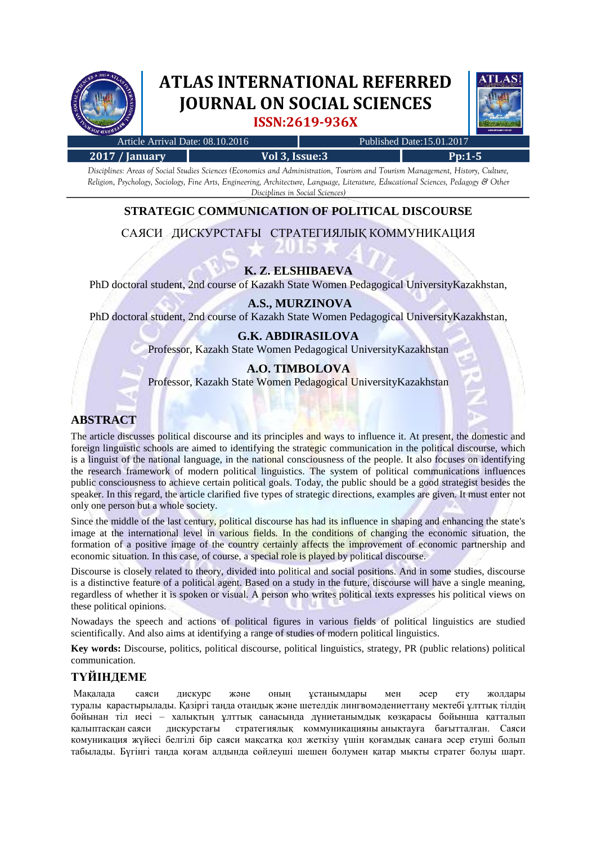

# **ATLAS INTERNATIONAL REFERRED JOURNAL ON SOCIAL SCIENCES ISSN:2619-936X**



| Article Arrival Date: 08.10.2016 |                | Published Date:15.01.2017 |             |
|----------------------------------|----------------|---------------------------|-------------|
| $2017/$ January                  | Vol 3, Issue:3 |                           | $P_{D}:1-5$ |

*Disciplines: Areas of Social Studies Sciences (Economics and Administration, Tourism and Tourism Management, History, Culture, Religion, Psychology, Sociology, Fine Arts, Engineering, Architecture, Language, Literature, Educational Sciences, Pedagogy & Other Disciplines in Social Sciences)*

# **STRATEGIC COMMUNICATION OF POLITICAL DISCOURSE**

САЯСИ ДИСКУРСТАҒЫ СТРАТЕГИЯЛЫҚ КОММУНИКАЦИЯ

## **K. Z. ELSHIBAEVA**

PhD doctoral student, 2nd course of Kazakh State Women Pedagogical UniversityKazakhstan,

#### **A.S., MURZINOVA**

PhD doctoral student, 2nd course of Kazakh State Women Pedagogical UniversityKazakhstan,

#### **G.K. ABDIRASILOVA**

Professor, Kazakh State Women Pedagogical UniversityKazakhstan

#### **A.O. TIMBOLOVA**

Professor, Kazakh State Women Pedagogical UniversityKazakhstan

# **ABSTRACT**

The article discusses political discourse and its principles and ways to influence it. At present, the domestic and foreign linguistic schools are aimed to identifying the strategic communication in the political discourse, which is a linguist of the national language, in the national consciousness of the people. It also focuses on identifying the research framework of modern political linguistics. The system of political communications influences public consciousness to achieve certain political goals. Today, the public should be a good strategist besides the speaker. In this regard, the article clarified five types of strategic directions, examples are given. It must enter not only one person but a whole society.

Since the middle of the last century, political discourse has had its influence in shaping and enhancing the state's image at the international level in various fields. In the conditions of changing the economic situation, the formation of a positive image of the country certainly affects the improvement of economic partnership and economic situation. In this case, of course, a special role is played by political discourse.

Discourse is closely related to theory, divided into political and social positions. And in some studies, discourse is a distinctive feature of a political agent. Based on a study in the future, discourse will have a single meaning, regardless of whether it is spoken or visual. A person who writes political texts expresses his political views on these political opinions.

Nowadays the speech and actions of political figures in various fields of political linguistics are studied scientifically. And also aims at identifying a range of studies of modern political linguistics.

**Key words:** Discourse, politics, political discourse, political linguistics, strategy, PR (public relations) political communication.

## **ТҮЙІНДЕМЕ**

Мақалада саяси дискурс және оның ұстанымдары мен әсер ету жолдары туралы қарастырылады. Қазіргі таңда отандық және шетелдік лингвомәдениеттану мектебі ұлттық тілдің бойынан тіл иесі – халықтың ұлттық санасында дүниетанымдық көзқарасы бойынша қатталып қалыптасқан саяси дискурстағы стратегиялық коммуникацияны анықтауға бағытталған. Саяси комуникация жүйесі белгілі бір саяси мақсатқа қол жеткізу үшін қоғамдық санаға әсер етуші болып табылады. Бүгінгі таңда қоғам алдында сөйлеуші шешен болумен қатар мықты стратег болуы шарт.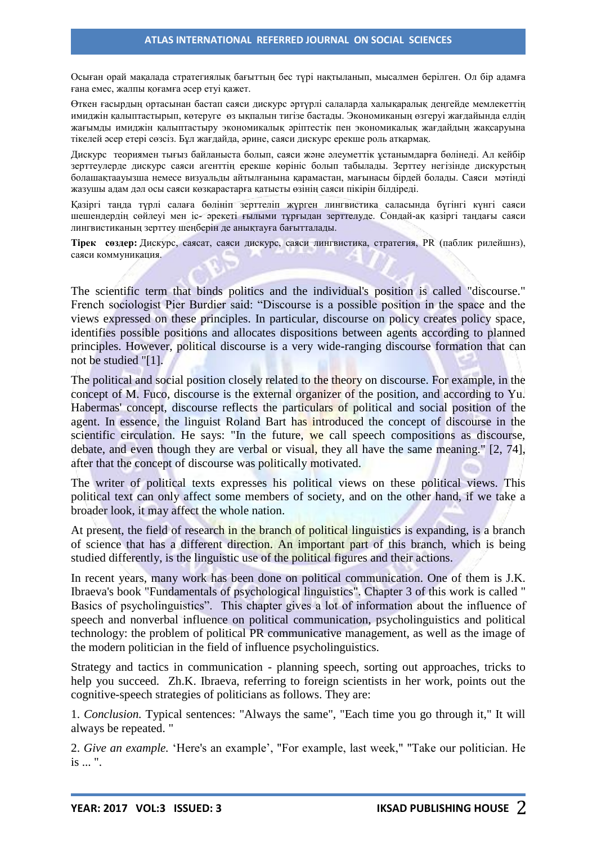Осыған орай мақалада стратегиялық бағыттың бес түрі нақтыланып, мысалмен берілген. Ол бір адамға ғана емес, жалпы қоғамға әсер етуі қажет.

Өткен ғасырдың ортасынан бастап саяси дискурс әртүрлі салаларда халықаралық деңгейде мемлекеттің имиджін қалыптастырып, көтеруге өз ықпалын тигізе бастады. Экономиканың өзгеруі жағдайында елдің жағымды имиджін қалыптастыру экономикалық әріптестік пен экономикалық жағдайдың жақсаруына тікелей әсер етері сөзсіз. Бұл жағдайда, әрине, саяси дискурс ерекше роль атқармақ.

Дискурс теориямен тығыз байланыста болып, саяси және әлеуметтік ұстанымдарға бөлінеді. Ал кейбір зерттеулерде дискурс саяси агенттің ерекше көрініс болып табылады. Зерттеу негізінде дискурстың болашақтаауызша немесе визуальды айтылғанына қарамастан, мағынасы бірдей болады. Саяси мәтінді жазушы адам дәл осы саяси көзқарастарға қатысты өзінің саяси пікірін білдіреді.

Қазіргі таңда түрлі салаға бөлініп зерттеліп жүрген лингвистика саласында бүгінгі күнгі саяси шешендердің сөйлеуі мен іс- әрекеті ғылыми тұрғыдан зерттелуде. Сондай-ақ қазіргі таңдағы саяси лингвистиканың зерттеу шеңберін де анықтауға бағытталады.

**Тірек сөздер:** Дискурс, саясат, саяси дискурс, саяси лингвистика, стратегия, PR (паблик рилейшнз), саяси коммуникация.

The scientific term that binds politics and the individual's position is called "discourse." French sociologist Pier Burdier said: "Discourse is a possible position in the space and the views expressed on these principles. In particular, discourse on policy creates policy space, identifies possible positions and allocates dispositions between agents according to planned principles. However, political discourse is a very wide-ranging discourse formation that can not be studied "[1].

The political and social position closely related to the theory on discourse. For example, in the concept of M. Fuco, discourse is the external organizer of the position, and according to Yu. Habermas' concept, discourse reflects the particulars of political and social position of the agent. In essence, the linguist Roland Bart has introduced the concept of discourse in the scientific circulation. He says: "In the future, we call speech compositions as discourse, debate, and even though they are verbal or visual, they all have the same meaning." [2, 74], after that the concept of discourse was politically motivated.

The writer of political texts expresses his political views on these political views. This political text can only affect some members of society, and on the other hand, if we take a broader look, it may affect the whole nation.

At present, the field of research in the branch of political linguistics is expanding, is a branch of science that has a different direction. An important part of this branch, which is being studied differently, is the linguistic use of the political figures and their actions.

In recent years, many work has been done on political communication. One of them is J.K. Ibraeva's book "Fundamentals of psychological linguistics". Chapter 3 of this work is called " Basics of psycholinguistics". This chapter gives a lot of information about the influence of speech and nonverbal influence on political communication, psycholinguistics and political technology: the problem of political PR communicative management, as well as the image of the modern politician in the field of influence psycholinguistics.

Strategy and tactics in communication - planning speech, sorting out approaches, tricks to help you succeed. Zh.K. Ibraeva, referring to foreign scientists in her work, points out the cognitive-speech strategies of politicians as follows. They are:

1. *Conclusion.* Typical sentences: "Always the same", "Each time you go through it," It will always be repeated. "

2. *Give an example.* 'Here's an example', "For example, last week," "Take our politician. He is ... ".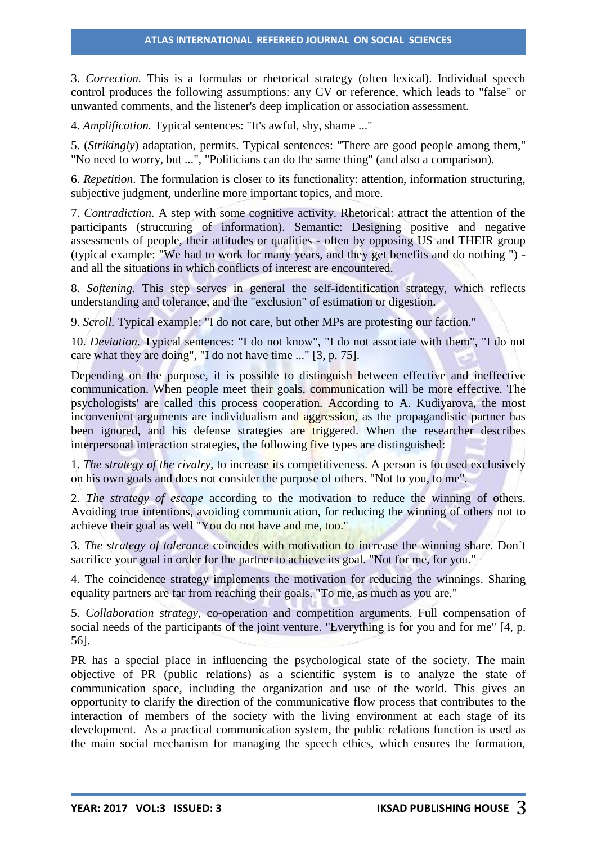#### **ATLAS INTERNATIONAL REFERRED JOURNAL ON SOCIAL SCIENCES**

3. *Correction.* This is a formulas or rhetorical strategy (often lexical). Individual speech control produces the following assumptions: any CV or reference, which leads to "false" or unwanted comments, and the listener's deep implication or association assessment.

4. *Amplification.* Typical sentences: "It's awful, shy, shame ..."

5. (*Strikingly*) adaptation, permits. Typical sentences: "There are good people among them," "No need to worry, but ...", "Politicians can do the same thing" (and also a comparison).

6. *Repetition*. The formulation is closer to its functionality: attention, information structuring, subjective judgment, underline more important topics, and more.

7. *Contradiction.* A step with some cognitive activity. Rhetorical: attract the attention of the participants (structuring of information). Semantic: Designing positive and negative assessments of people, their attitudes or qualities - often by opposing US and THEIR group (typical example: "We had to work for many years, and they get benefits and do nothing ") and all the situations in which conflicts of interest are encountered.

8. *Softening.* This step serves in general the self-identification strategy, which reflects understanding and tolerance, and the "exclusion" of estimation or digestion.

9. *Scroll.* Typical example: "I do not care, but other MPs are protesting our faction."

10. *Deviation.* Typical sentences: "I do not know", "I do not associate with them", "I do not care what they are doing", "I do not have time ..." [3, p. 75].

Depending on the purpose, it is possible to distinguish between effective and ineffective communication. When people meet their goals, communication will be more effective. The psychologists' are called this process cooperation. According to A. Kudiyarova, the most inconvenient arguments are individualism and aggression, as the propagandistic partner has been ignored, and his defense strategies are triggered. When the researcher describes interpersonal interaction strategies, the following five types are distinguished:

1. *The strategy of the rivalry,* to increase its competitiveness. A person is focused exclusively on his own goals and does not consider the purpose of others. "Not to you, to me".

2. *The strategy of escape* according to the motivation to reduce the winning of others. Avoiding true intentions, avoiding communication, for reducing the winning of others not to achieve their goal as well "You do not have and me, too."

3. *The strategy of tolerance* coincides with motivation to increase the winning share. Don`t sacrifice your goal in order for the partner to achieve its goal. "Not for me, for you."

4. The coincidence strategy implements the motivation for reducing the winnings. Sharing equality partners are far from reaching their goals. "To me, as much as you are."

5. *Collaboration strategy,* co-operation and competition arguments. Full compensation of social needs of the participants of the joint venture. "Everything is for you and for me" [4, p. 56].

PR has a special place in influencing the psychological state of the society. The main objective of PR (public relations) as a scientific system is to analyze the state of communication space, including the organization and use of the world. This gives an opportunity to clarify the direction of the communicative flow process that contributes to the interaction of members of the society with the living environment at each stage of its development. As a practical communication system, the public relations function is used as the main social mechanism for managing the speech ethics, which ensures the formation,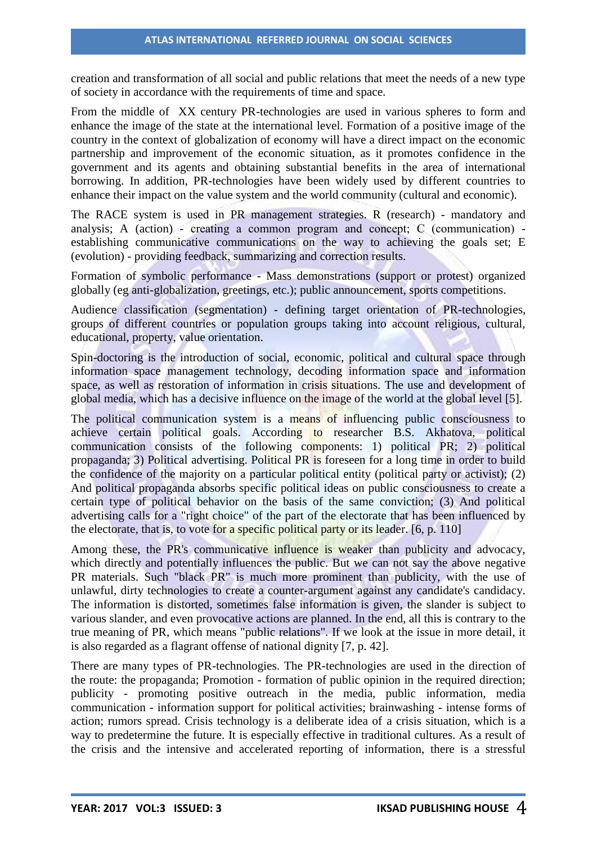creation and transformation of all social and public relations that meet the needs of a new type of society in accordance with the requirements of time and space.

From the middle of XX century PR-technologies are used in various spheres to form and enhance the image of the state at the international level. Formation of a positive image of the country in the context of globalization of economy will have a direct impact on the economic partnership and improvement of the economic situation, as it promotes confidence in the government and its agents and obtaining substantial benefits in the area of international borrowing. In addition, PR-technologies have been widely used by different countries to enhance their impact on the value system and the world community (cultural and economic).

The RACE system is used in PR management strategies. R (research) - mandatory and analysis; A (action) - creating a common program and concept; С (communication) establishing communicative communications on the way to achieving the goals set; E (evolution) - providing feedback, summarizing and correction results.

Formation of symbolic performance - Mass demonstrations (support or protest) organized globally (eg anti-globalization, greetings, etc.); public announcement, sports competitions.

Audience classification (segmentation) - defining target orientation of PR-technologies, groups of different countries or population groups taking into account religious, cultural, educational, property, value orientation.

Spin-doctoring is the introduction of social, economic, political and cultural space through information space management technology, decoding information space and information space, as well as restoration of information in crisis situations. The use and development of global media, which has a decisive influence on the image of the world at the global level [5].

The political communication system is a means of influencing public consciousness to achieve certain political goals. According to researcher B.S. Akhatova, political communication consists of the following components: 1) political PR; 2) political propaganda; 3) Political advertising. Political PR is foreseen for a long time in order to build the confidence of the majority on a particular political entity (political party or activist); (2) And political propaganda absorbs specific political ideas on public consciousness to create a certain type of political behavior on the basis of the same conviction; (3) And political advertising calls for a "right choice" of the part of the electorate that has been influenced by the electorate, that is, to vote for a specific political party or its leader.  $[6, p. 110]$ 

Among these, the PR's communicative influence is weaker than publicity and advocacy, which directly and potentially influences the public. But we can not say the above negative PR materials. Such "black PR" is much more prominent than publicity, with the use of unlawful, dirty technologies to create a counter-argument against any candidate's candidacy. The information is distorted, sometimes false information is given, the slander is subject to various slander, and even provocative actions are planned. In the end, all this is contrary to the true meaning of PR, which means "public relations". If we look at the issue in more detail, it is also regarded as a flagrant offense of national dignity [7, p. 42].

There are many types of PR-technologies. The PR-technologies are used in the direction of the route: the propaganda; Promotion - formation of public opinion in the required direction; publicity - promoting positive outreach in the media, public information, media communication - information support for political activities; brainwashing - intense forms of action; rumors spread. Crisis technology is a deliberate idea of a crisis situation, which is a way to predetermine the future. It is especially effective in traditional cultures. As a result of the crisis and the intensive and accelerated reporting of information, there is a stressful